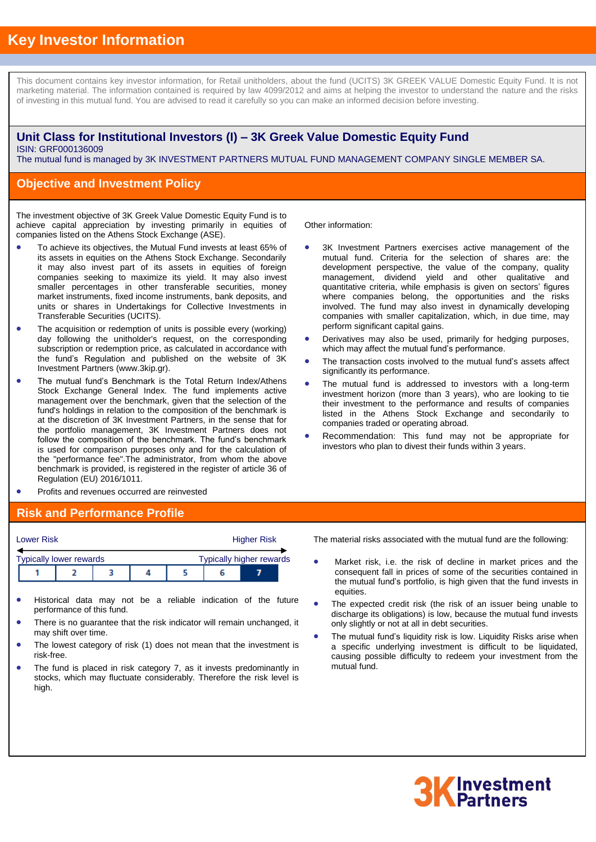# **Key Investor Information**

This document contains key investor information, for Retail unitholders, about the fund (UCITS) 3K GREEK VALUE Domestic Equity Fund. It is not marketing material. The information contained is required by law 4099/2012 and aims at helping the investor to understand the nature and the risks of investing in this mutual fund. You are advised to read it carefully so you can make an informed decision before investing.

### **Unit Class for Institutional Investors (I) – 3K Greek Value Domestic Equity Fund** ISIN: GRF000136009

The mutual fund is managed by 3K INVESTMENT PARTNERS MUTUAL FUND MANAGEMENT COMPANY SINGLE MEMBER SA.

### **Objective and Investment Policy**

The investment objective of 3K Greek Value Domestic Equity Fund is to achieve capital appreciation by investing primarily in equities of companies listed on the Athens Stock Exchange (ASE).

- To achieve its objectives, the Mutual Fund invests at least 65% of its assets in equities on the Athens Stock Exchange. Secondarily it may also invest part of its assets in equities of foreign companies seeking to maximize its yield. It may also invest smaller percentages in other transferable securities, money market instruments, fixed income instruments, bank deposits, and units or shares in Undertakings for Collective Investments in Transferable Securities (UCITS).
- The acquisition or redemption of units is possible every (working) day following the unitholder's request, on the corresponding subscription or redemption price, as calculated in accordance with the fund's Regulation and published on the website of 3K Investment Partners (www.3kip.gr).
- The mutual fund's Benchmark is the Total Return Index/Athens Stock Exchange General Index. The fund implements active management over the benchmark, given that the selection of the fund's holdings in relation to the composition of the benchmark is at the discretion of 3K Investment Partners, in the sense that for the portfolio management, 3K Investment Partners does not follow the composition of the benchmark. The fund's benchmark is used for comparison purposes only and for the calculation of the "performance fee".The administrator, from whom the above benchmark is provided, is registered in the register of article 36 of Regulation (EU) 2016/1011.
- Profits and revenues occurred are reinvested

#### **Risk and Performance Profile**

| <b>Lower Risk</b> |  |                                |  |                                 |  | <b>Higher Risk</b> |  |  |  |
|-------------------|--|--------------------------------|--|---------------------------------|--|--------------------|--|--|--|
|                   |  | <b>Typically lower rewards</b> |  | <b>Typically higher rewards</b> |  |                    |  |  |  |
|                   |  |                                |  |                                 |  |                    |  |  |  |

- Historical data may not be a reliable indication of the future performance of this fund.
- There is no guarantee that the risk indicator will remain unchanged, it may shift over time.
- The lowest category of risk (1) does not mean that the investment is risk-free.
- The fund is placed in risk category 7, as it invests predominantly in stocks, which may fluctuate considerably. Therefore the risk level is high.

Other information:

- 3K Investment Partners exercises active management of the mutual fund. Criteria for the selection of shares are: the development perspective, the value of the company, quality management, dividend yield and other qualitative and quantitative criteria, while emphasis is given on sectors' figures where companies belong, the opportunities and the risks involved. The fund may also invest in dynamically developing companies with smaller capitalization, which, in due time, may perform significant capital gains.
- Derivatives may also be used, primarily for hedging purposes, which may affect the mutual fund's performance.
- The transaction costs involved to the mutual fund's assets affect significantly its performance.
- The mutual fund is addressed to investors with a long-term investment horizon (more than 3 years), who are looking to tie their investment to the performance and results of companies listed in the Athens Stock Exchange and secondarily to companies traded or operating abroad.
- Recommendation: This fund may not be appropriate for investors who plan to divest their funds within 3 years.

- The material risks associated with the mutual fund are the following:
- Market risk, i.e. the risk of decline in market prices and the consequent fall in prices of some of the securities contained in the mutual fund's portfolio, is high given that the fund invests in equities.
- The expected credit risk (the risk of an issuer being unable to discharge its obligations) is low, because the mutual fund invests only slightly or not at all in debt securities.
- The mutual fund's liquidity risk is low. Liquidity Risks arise when a specific underlying investment is difficult to be liquidated, causing possible difficulty to redeem your investment from the mutual fund.